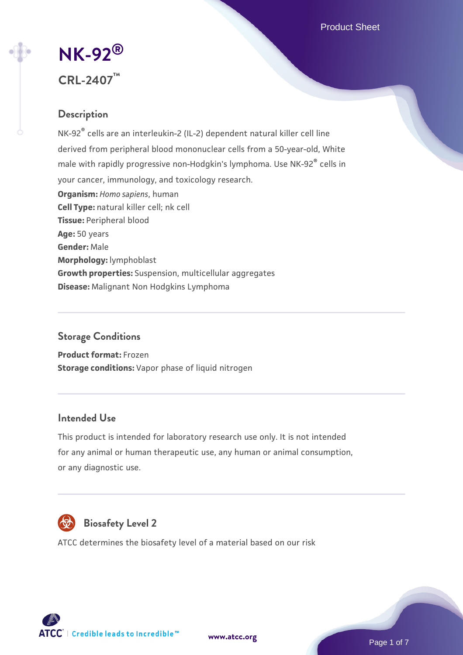Product Sheet

# **[NK-92](https://www.atcc.org/products/crl-2407)[®](https://www.atcc.org/products/crl-2407) CRL-2407™**

# **Description**

NK-92® cells are an interleukin-2 (IL-2) dependent natural killer cell line derived from peripheral blood mononuclear cells from a 50-year-old, White male with rapidly progressive non-Hodgkin's lymphoma. Use NK-92® cells in your cancer, immunology, and toxicology research. **Organism:** *Homo sapiens*, human **Cell Type:** natural killer cell; nk cell **Tissue:** Peripheral blood **Age:** 50 years **Gender:** Male **Morphology:** lymphoblast **Growth properties:** Suspension, multicellular aggregates **Disease:** Malignant Non Hodgkins Lymphoma

# **Storage Conditions**

**Product format:** Frozen **Storage conditions:** Vapor phase of liquid nitrogen

# **Intended Use**

This product is intended for laboratory research use only. It is not intended for any animal or human therapeutic use, any human or animal consumption, or any diagnostic use.



# **Biosafety Level 2**

ATCC determines the biosafety level of a material based on our risk



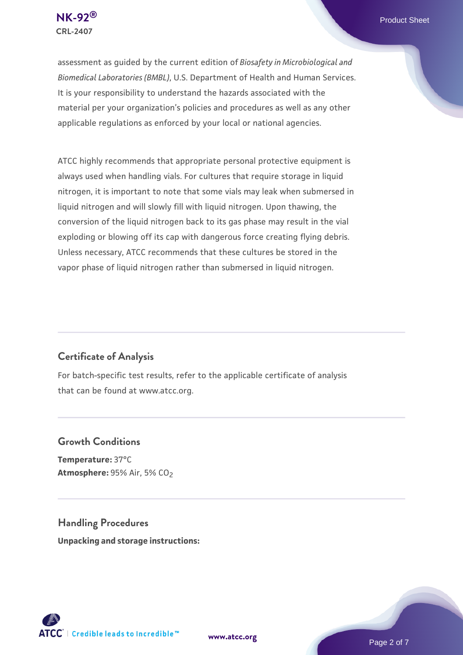assessment as guided by the current edition of *Biosafety in Microbiological and Biomedical Laboratories (BMBL)*, U.S. Department of Health and Human Services. It is your responsibility to understand the hazards associated with the material per your organization's policies and procedures as well as any other applicable regulations as enforced by your local or national agencies.

ATCC highly recommends that appropriate personal protective equipment is always used when handling vials. For cultures that require storage in liquid nitrogen, it is important to note that some vials may leak when submersed in liquid nitrogen and will slowly fill with liquid nitrogen. Upon thawing, the conversion of the liquid nitrogen back to its gas phase may result in the vial exploding or blowing off its cap with dangerous force creating flying debris. Unless necessary, ATCC recommends that these cultures be stored in the vapor phase of liquid nitrogen rather than submersed in liquid nitrogen.

# **Certificate of Analysis**

For batch-specific test results, refer to the applicable certificate of analysis that can be found at www.atcc.org.

# **Growth Conditions**

**Temperature:** 37°C **Atmosphere: 95% Air, 5% CO<sub>2</sub>** 

**Handling Procedures Unpacking and storage instructions:**

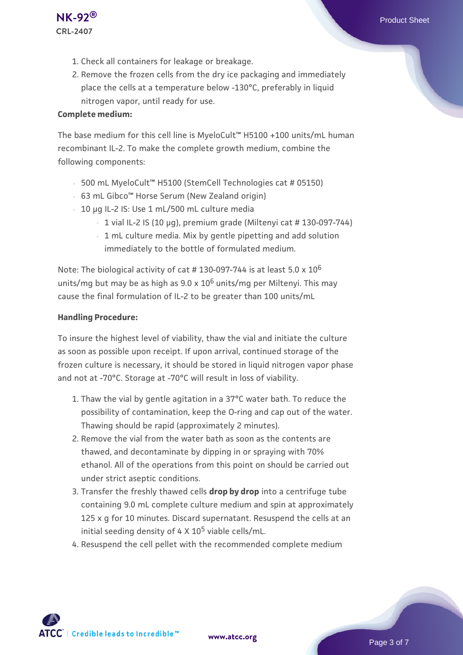- 1. Check all containers for leakage or breakage.
- 2. Remove the frozen cells from the dry ice packaging and immediately place the cells at a temperature below -130°C, preferably in liquid nitrogen vapor, until ready for use.

#### **Complete medium:**

The base medium for this cell line is MyeloCult™ H5100 +100 units/mL human recombinant IL-2. To make the complete growth medium, combine the following components:

- 500 mL MyeloCult™ H5100 (StemCell Technologies cat # 05150)
- 63 mL Gibco™ Horse Serum (New Zealand origin)
- 10 µg IL-2 IS: Use 1 mL/500 mL culture media
	- $\cdot$  1 vial IL-2 IS (10 µg), premium grade (Miltenyi cat # 130-097-744)
	- 1 mL culture media. Mix by gentle pipetting and add solution immediately to the bottle of formulated medium.

Note: The biological activity of cat # 130-097-744 is at least 5.0 x 10<sup>6</sup> units/mg but may be as high as  $9.0 \times 10^6$  units/mg per Miltenyi. This may cause the final formulation of IL-2 to be greater than 100 units/mL

#### **Handling Procedure:**

To insure the highest level of viability, thaw the vial and initiate the culture as soon as possible upon receipt. If upon arrival, continued storage of the frozen culture is necessary, it should be stored in liquid nitrogen vapor phase and not at -70°C. Storage at -70°C will result in loss of viability.

- 1. Thaw the vial by gentle agitation in a 37°C water bath. To reduce the  $\,$ possibility of contamination, keep the O-ring and cap out of the water. Thawing should be rapid (approximately 2 minutes).
- 2. Remove the vial from the water bath as soon as the contents are thawed, and decontaminate by dipping in or spraying with 70% ethanol. All of the operations from this point on should be carried out under strict aseptic conditions.
- 3. Transfer the freshly thawed cells **drop by drop** into a centrifuge tube containing 9.0 mL complete culture medium and spin at approximately 125 x g for 10 minutes. Discard supernatant. Resuspend the cells at an initial seeding density of  $4 \times 10^5$  viable cells/mL.
- 4. Resuspend the cell pellet with the recommended complete medium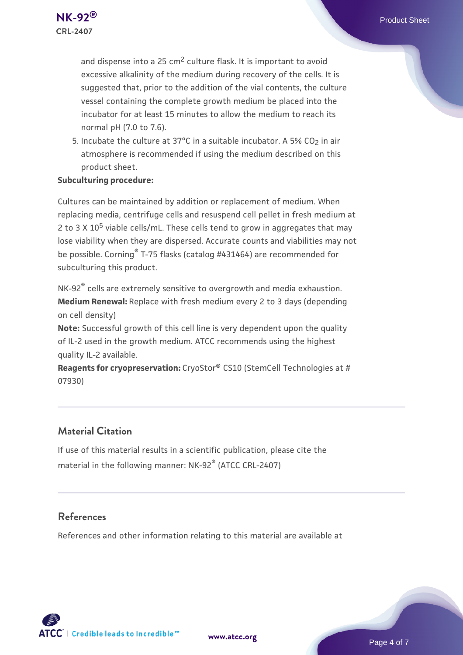and dispense into a 25 cm<sup>2</sup> culture flask. It is important to avoid excessive alkalinity of the medium during recovery of the cells. It is suggested that, prior to the addition of the vial contents, the culture vessel containing the complete growth medium be placed into the incubator for at least 15 minutes to allow the medium to reach its normal pH (7.0 to 7.6).

5. Incubate the culture at 37°C in a suitable incubator. A 5% CO<sub>2</sub> in air atmosphere is recommended if using the medium described on this product sheet.

#### **Subculturing procedure:**

Cultures can be maintained by addition or replacement of medium. When replacing media, centrifuge cells and resuspend cell pellet in fresh medium at 2 to 3  $\times$  10<sup>5</sup> viable cells/mL. These cells tend to grow in aggregates that may lose viability when they are dispersed. Accurate counts and viabilities may not be possible. Corning® T-75 flasks (catalog #431464) are recommended for subculturing this product.

NK-92<sup>®</sup> cells are extremely sensitive to overgrowth and media exhaustion. **Medium Renewal:** Replace with fresh medium every 2 to 3 days (depending on cell density)

**Note:** Successful growth of this cell line is very dependent upon the quality of IL-2 used in the growth medium. ATCC recommends using the highest quality IL-2 available.

**Reagents for cryopreservation:** CryoStor® CS10 (StemCell Technologies at # 07930)

# **Material Citation**

If use of this material results in a scientific publication, please cite the material in the following manner: NK-92® (ATCC CRL-2407)

# **References**

References and other information relating to this material are available at

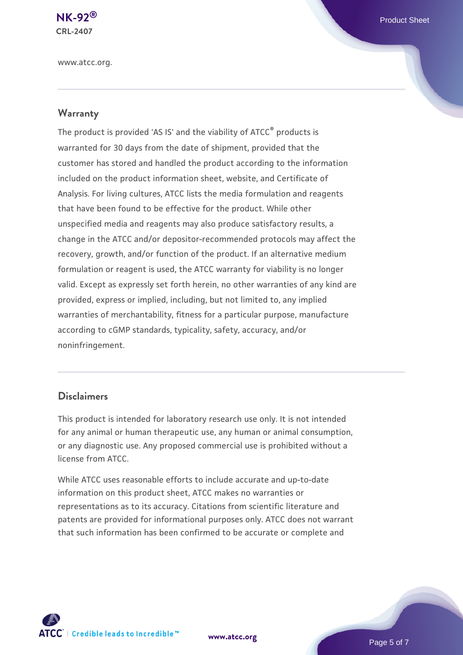www.atcc.org.

#### **Warranty**

The product is provided 'AS IS' and the viability of ATCC® products is warranted for 30 days from the date of shipment, provided that the customer has stored and handled the product according to the information included on the product information sheet, website, and Certificate of Analysis. For living cultures, ATCC lists the media formulation and reagents that have been found to be effective for the product. While other unspecified media and reagents may also produce satisfactory results, a change in the ATCC and/or depositor-recommended protocols may affect the recovery, growth, and/or function of the product. If an alternative medium formulation or reagent is used, the ATCC warranty for viability is no longer valid. Except as expressly set forth herein, no other warranties of any kind are provided, express or implied, including, but not limited to, any implied warranties of merchantability, fitness for a particular purpose, manufacture according to cGMP standards, typicality, safety, accuracy, and/or noninfringement.

#### **Disclaimers**

This product is intended for laboratory research use only. It is not intended for any animal or human therapeutic use, any human or animal consumption, or any diagnostic use. Any proposed commercial use is prohibited without a license from ATCC.

While ATCC uses reasonable efforts to include accurate and up-to-date information on this product sheet, ATCC makes no warranties or representations as to its accuracy. Citations from scientific literature and patents are provided for informational purposes only. ATCC does not warrant that such information has been confirmed to be accurate or complete and



**[www.atcc.org](http://www.atcc.org)**

Page 5 of 7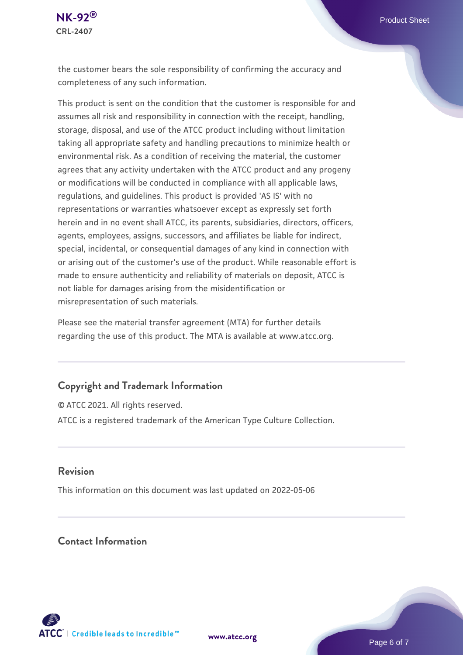

the customer bears the sole responsibility of confirming the accuracy and completeness of any such information.

This product is sent on the condition that the customer is responsible for and assumes all risk and responsibility in connection with the receipt, handling, storage, disposal, and use of the ATCC product including without limitation taking all appropriate safety and handling precautions to minimize health or environmental risk. As a condition of receiving the material, the customer agrees that any activity undertaken with the ATCC product and any progeny or modifications will be conducted in compliance with all applicable laws, regulations, and guidelines. This product is provided 'AS IS' with no representations or warranties whatsoever except as expressly set forth herein and in no event shall ATCC, its parents, subsidiaries, directors, officers, agents, employees, assigns, successors, and affiliates be liable for indirect, special, incidental, or consequential damages of any kind in connection with or arising out of the customer's use of the product. While reasonable effort is made to ensure authenticity and reliability of materials on deposit, ATCC is not liable for damages arising from the misidentification or misrepresentation of such materials.

Please see the material transfer agreement (MTA) for further details regarding the use of this product. The MTA is available at www.atcc.org.

# **Copyright and Trademark Information**

© ATCC 2021. All rights reserved. ATCC is a registered trademark of the American Type Culture Collection.

#### **Revision**

This information on this document was last updated on 2022-05-06

# **Contact Information**